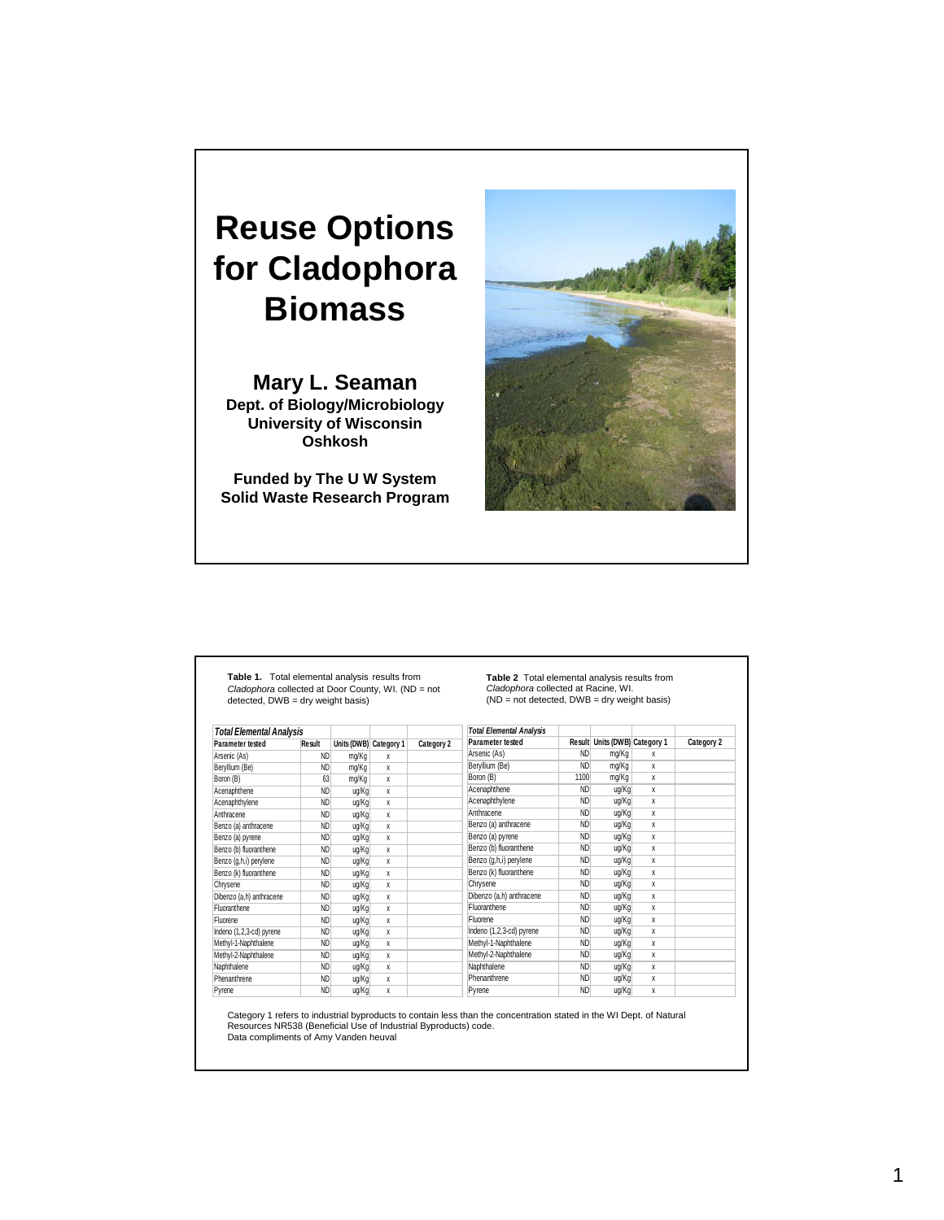## **Reuse Options for Cladophora Biomass**

**Mary L. Seaman Dept. of Biology/Microbiology University of Wisconsin Oshkosh**

**Funded by The U W System Solid Waste Research Program**



**Table 1.** Total elemental analysis results from *Cladophora* collected at Door County, WI. (ND = not detected, DWB = dry weight basis)

**Table 2** Total elemental analysis results from *Cladophora* collected at Racine, WI. (ND = not detected, DWB = dry weight basis)

| <b>Total Elemental Analysis</b> |           |       |                        |            | <b>Total Elemental Analysis</b> |                |                               |              |            |
|---------------------------------|-----------|-------|------------------------|------------|---------------------------------|----------------|-------------------------------|--------------|------------|
| Parameter tested                | Result    |       | Units (DWB) Category 1 | Category 2 | Parameter tested                |                | Result Units (DWB) Category 1 |              | Category 2 |
| Arsenic (As)                    | <b>ND</b> | mg/Kg | X                      |            | Arsenic (As)                    | <b>ND</b>      | mg/Kg                         | x            |            |
| Beryllium (Be)                  | <b>ND</b> | mg/Kg | X                      |            | Beryllium (Be)                  | <b>ND</b>      | mg/Kg                         | x            |            |
| Boron (B)                       | 63        | mg/Kg | X                      |            | Boron (B)                       | 1100           | mg/Kg                         | x            |            |
| Acenaphthene                    | <b>ND</b> | uq/Kg | X                      |            | Acenaphthene                    | <b>ND</b>      | ug/Kg                         | $\mathbf{x}$ |            |
| Acenaphthylene                  | <b>ND</b> | uq/Kg | X                      |            | Acenaphthylene                  | <b>ND</b>      | ug/Kg                         | X            |            |
| Anthracene                      | <b>ND</b> | uq/Kg | X                      |            | Anthracene                      | <b>ND</b>      | ug/Kg                         | x            |            |
| Benzo (a) anthracene            | <b>ND</b> | ug/Kg | X                      |            | Benzo (a) anthracene            | <b>ND</b>      | ug/Kg                         | x            |            |
| Benzo (a) pyrene                | <b>ND</b> | ug/Kg | X                      |            | Benzo (a) pyrene                | <b>ND</b>      | ug/Kg                         | x            |            |
| Benzo (b) fluoranthene          | <b>ND</b> | uq/Kg | X                      |            | Benzo (b) fluoranthene          | <b>ND</b>      | ug/Kg                         | X            |            |
| Benzo (g,h,i) perylene          | <b>ND</b> | ug/Kg | X                      |            | Benzo (g,h,i) perylene          | <b>ND</b>      | ug/Kg                         | x            |            |
| Benzo (k) fluoranthene          | <b>ND</b> | uq/Kg | X                      |            | Benzo (k) fluoranthene          | N <sub>D</sub> | ug/Kg                         | X            |            |
| Chrysene                        | <b>ND</b> | uq/Kg | X                      |            | Chrysene                        | <b>ND</b>      | ug/Kg                         | x            |            |
| Dibenzo (a,h) anthracene        | <b>ND</b> | uq/Kg | X                      |            | Dibenzo (a,h) anthracene        | <b>ND</b>      | ug/Kg                         | X            |            |
| Fluoranthene                    | <b>ND</b> | uq/Kg | X                      |            | Fluoranthene                    | <b>ND</b>      | ug/Kg                         | x            |            |
| Fluorene                        | <b>ND</b> | uq/Kg | X                      |            | Fluorene                        | <b>ND</b>      | ug/Kg                         | X            |            |
| Indeno (1,2,3-cd) pyrene        | <b>ND</b> | uq/Kg | X                      |            | Indeno (1,2,3-cd) pyrene        | <b>ND</b>      | ug/Kg                         | X            |            |
| Methyl-1-Naphthalene            | <b>ND</b> | ug/Kg | X                      |            | Methyl-1-Naphthalene            | <b>ND</b>      | ug/Kg                         | x            |            |
| Methyl-2-Naphthalene            | <b>ND</b> | ug/Kg | X                      |            | Methyl-2-Naphthalene            | <b>ND</b>      | ug/Kg                         | x            |            |
| Naphthalene                     | <b>ND</b> | ug/Kg | X                      |            | Naphthalene                     | <b>ND</b>      | ug/Kg                         | X            |            |
| Phenanthrene                    | <b>ND</b> | ug/Kg | X                      |            | Phenanthrene                    | <b>ND</b>      | ug/Kg                         | X            |            |
| Pyrene                          | <b>ND</b> | ug/Kg | X                      |            | Pyrene                          | <b>ND</b>      | ug/Kg                         | x            |            |

Category 1 refers to industrial byproducts to contain less than the concentration stated in the WI Dept. of Natural Resources NR538 (Beneficial Use of Industrial Byproducts) code. Data compliments of Amy Vanden heuval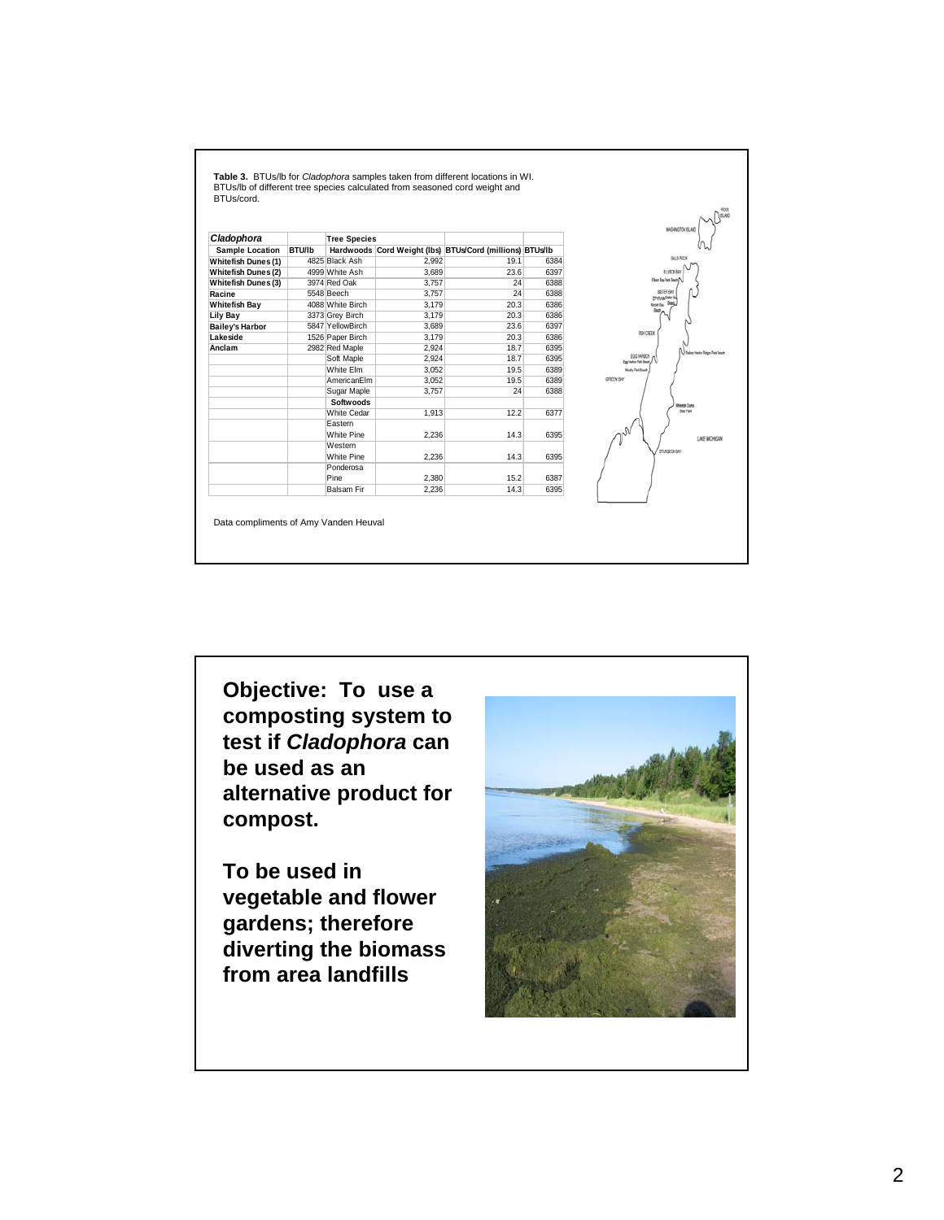**Table 3.** BTUs/lb for *Cladophora* samples taken from different locations in WI. BTUs/lb of different tree species calculated from seasoned cord weight and BTUs/cord.

| Cladophora                 |        | <b>Tree Species</b>   |       |                                                          |      |
|----------------------------|--------|-----------------------|-------|----------------------------------------------------------|------|
| <b>Sample Location</b>     | BTU/lb |                       |       | Hardwoods Cord Weight (lbs) BTUs/Cord (millions) BTUs/lb |      |
| <b>Whitefish Dunes (1)</b> |        | 4825 Black Ash        | 2,992 | 19.1                                                     | 6384 |
| <b>Whitefish Dunes (2)</b> |        | 4999 White Ash        | 3,689 | 23.6                                                     | 6397 |
| Whitefish Dunes (3)        |        | 3974 Red Oak          | 3.757 | 24                                                       | 6388 |
| Racine                     |        | 5548 Beech            | 3,757 | 24                                                       | 6388 |
| Whitefish Bay              |        | 4088 White Birch      | 3.179 | 20.3                                                     | 6386 |
| Lily Bay                   |        | 3373 Grey Birch       | 3,179 | 20.3                                                     | 6386 |
| Bailey's Harbor            |        | 5847 YellowBirch      | 3,689 | 23.6                                                     | 6397 |
| Lakeside                   |        | 1526 Paper Birch      | 3,179 | 20.3                                                     | 6386 |
| Anclam                     |        | 2982 Red Maple        | 2,924 | 18.7                                                     | 6395 |
|                            |        | Soft Maple            | 2,924 | 18.7                                                     | 6395 |
|                            |        | White Elm             | 3,052 | 19.5                                                     | 6389 |
|                            |        | AmericanElm           | 3,052 | 19.5                                                     | 6389 |
|                            |        | Sugar Maple           | 3,757 | 24                                                       | 6388 |
|                            |        | Softwoods             |       |                                                          |      |
|                            |        | White Cedar           | 1,913 | 12.2                                                     | 6377 |
|                            |        | Eastern<br>White Pine | 2.236 | 14.3                                                     | 6395 |
|                            |        | Western<br>White Pine | 2.236 | 14.3                                                     | 6395 |
|                            |        | Ponderosa<br>Pine     | 2,380 | 15.2                                                     | 6387 |
|                            |        | Balsam Fir            | 2,236 | 14.3                                                     | 6395 |



Data compliments of Amy Vanden Heuval

**Objective: To use a composting system to test if** *Cladophora* **can be used as an alternative product for compost.** 

**To be used in vegetable and flower gardens; therefore diverting the biomass from area landfills** 

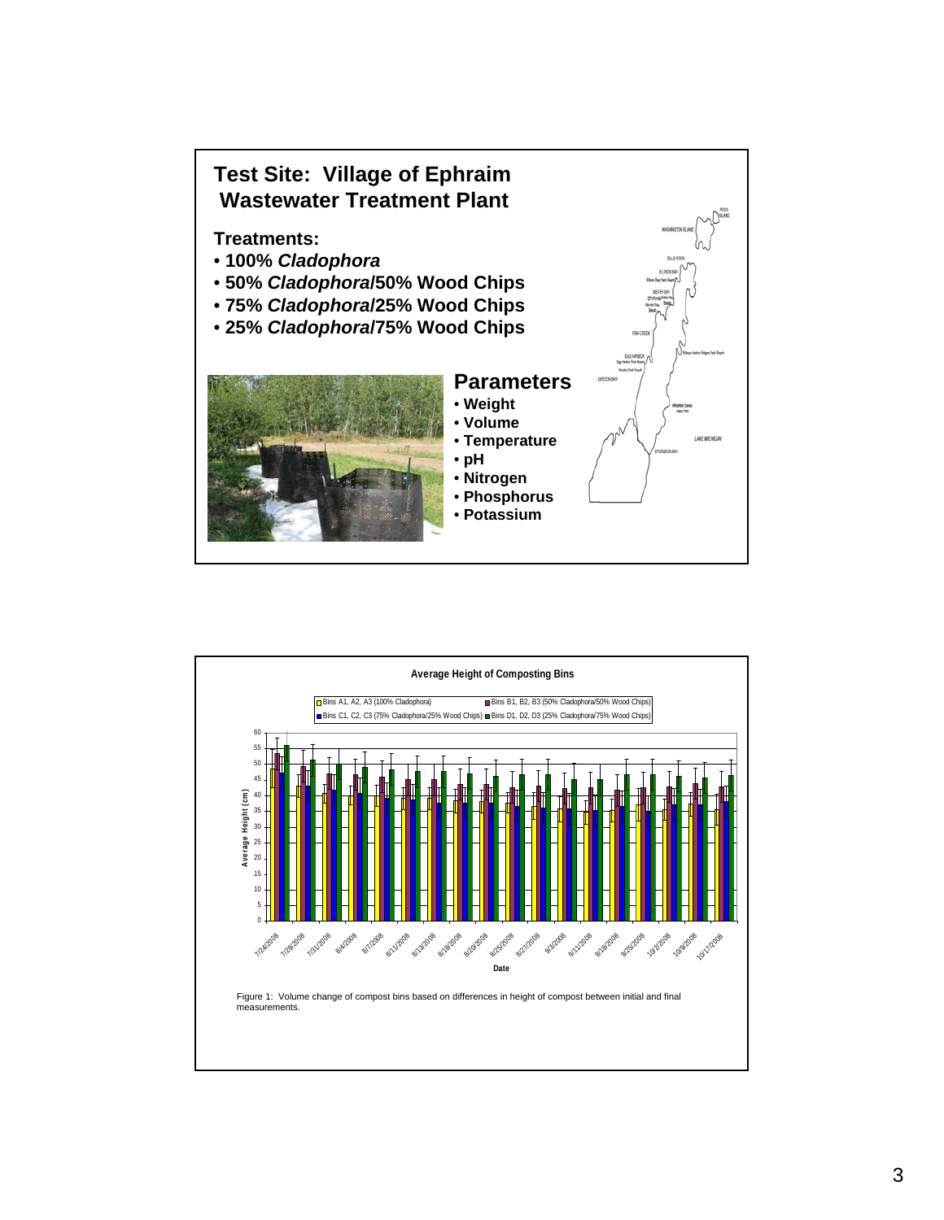

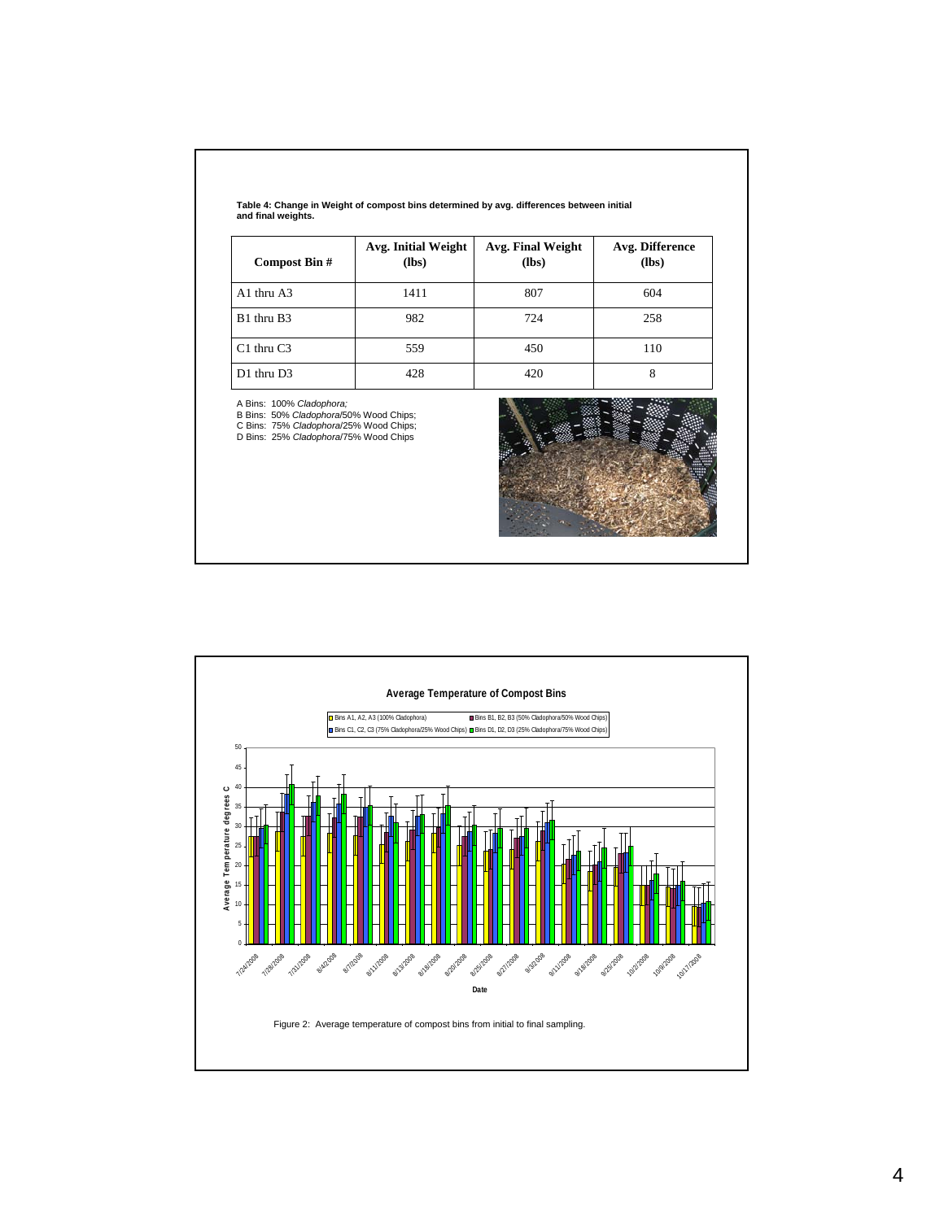| Compost Bin #  | Avg. Initial Weight<br>(lbs) | Avg. Final Weight<br>(lbs) | Avg. Difference<br>(lbs) |
|----------------|------------------------------|----------------------------|--------------------------|
| $A1$ thru $A3$ | 1411                         | 807                        | 604                      |
| B1 thru B3     | 982                          | 724                        | 258                      |
| $C1$ thru $C3$ | 559                          | 450                        | 110                      |
| D1 thru D3     | 428                          | 420                        | 8                        |

A Bins: 100% *Cladophora;*<br>B Bins: 50% *Cladophora*/50% Wood Chips;<br>C Bins: *25% Cladophora/*75% Wood Chips;<br>D Bins: 25% *Cladophora/*75% Wood Chips



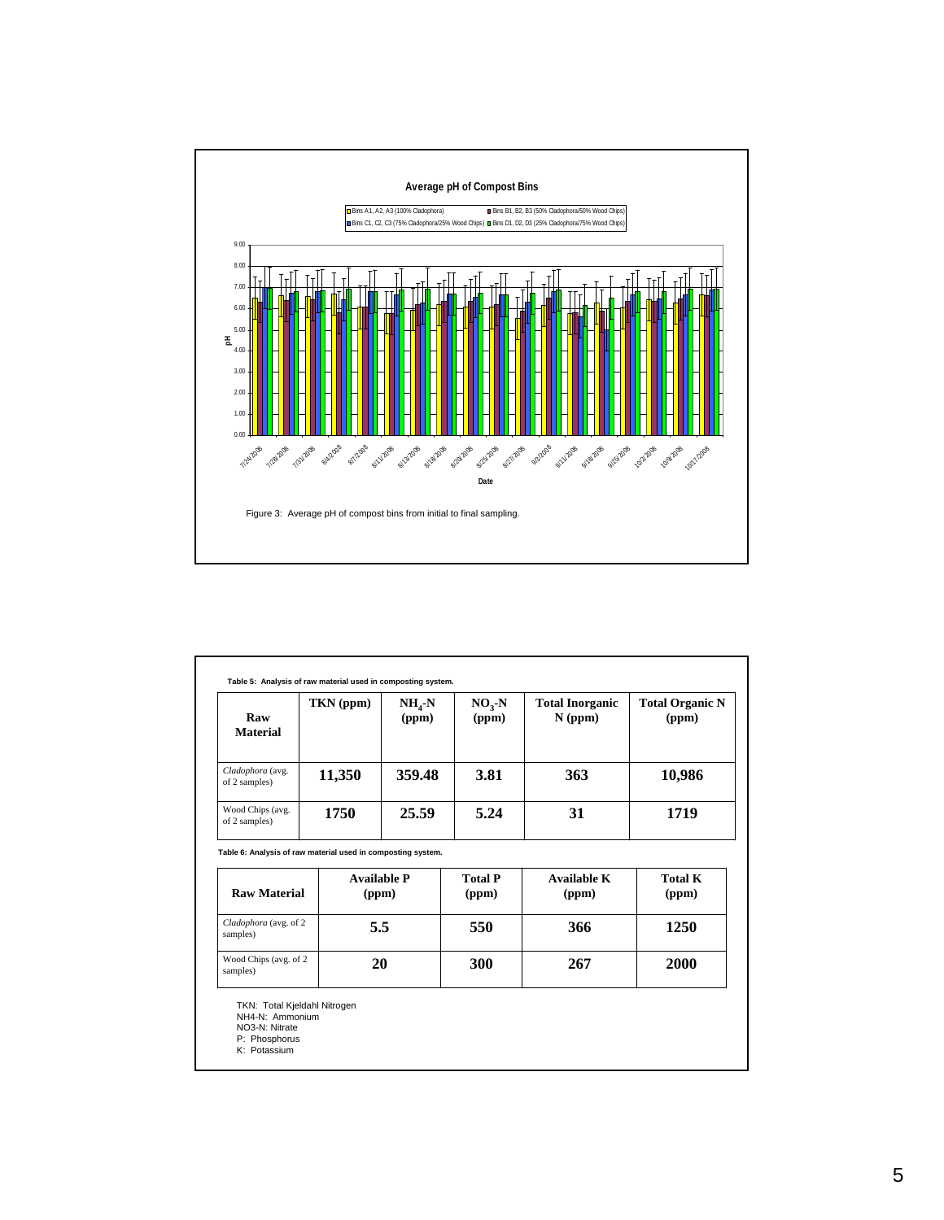

| Raw<br><b>Material</b>            | TKN (ppm)                                                                                   | $NH_{4}-N$<br>(ppm) | $NO3-N$<br>(ppm)        | <b>Total Inorganic</b><br>$N$ (ppm) | <b>Total Organic N</b><br>(ppm) |
|-----------------------------------|---------------------------------------------------------------------------------------------|---------------------|-------------------------|-------------------------------------|---------------------------------|
| Cladophora (avg.<br>of 2 samples) | 11,350                                                                                      | 359.48              | 3.81                    | 363                                 | 10,986                          |
| Wood Chips (avg.<br>of 2 samples) | 1750                                                                                        | 25.59               | 5.24                    | 31                                  | 1719                            |
| <b>Raw Material</b>               | Table 6: Analysis of raw material used in composting system.<br><b>Available P</b><br>(ppm) |                     | <b>Total P</b><br>(ppm) | Available K<br>(ppm)                | <b>Total K</b><br>(ppm)         |
| Cladophora (avg. of 2<br>samples) | 5.5                                                                                         |                     | 550                     | 366                                 | 1250                            |
|                                   | 20                                                                                          |                     | 300                     | 267                                 | 2000                            |
| Wood Chips (avg. of 2<br>samples) |                                                                                             |                     |                         |                                     |                                 |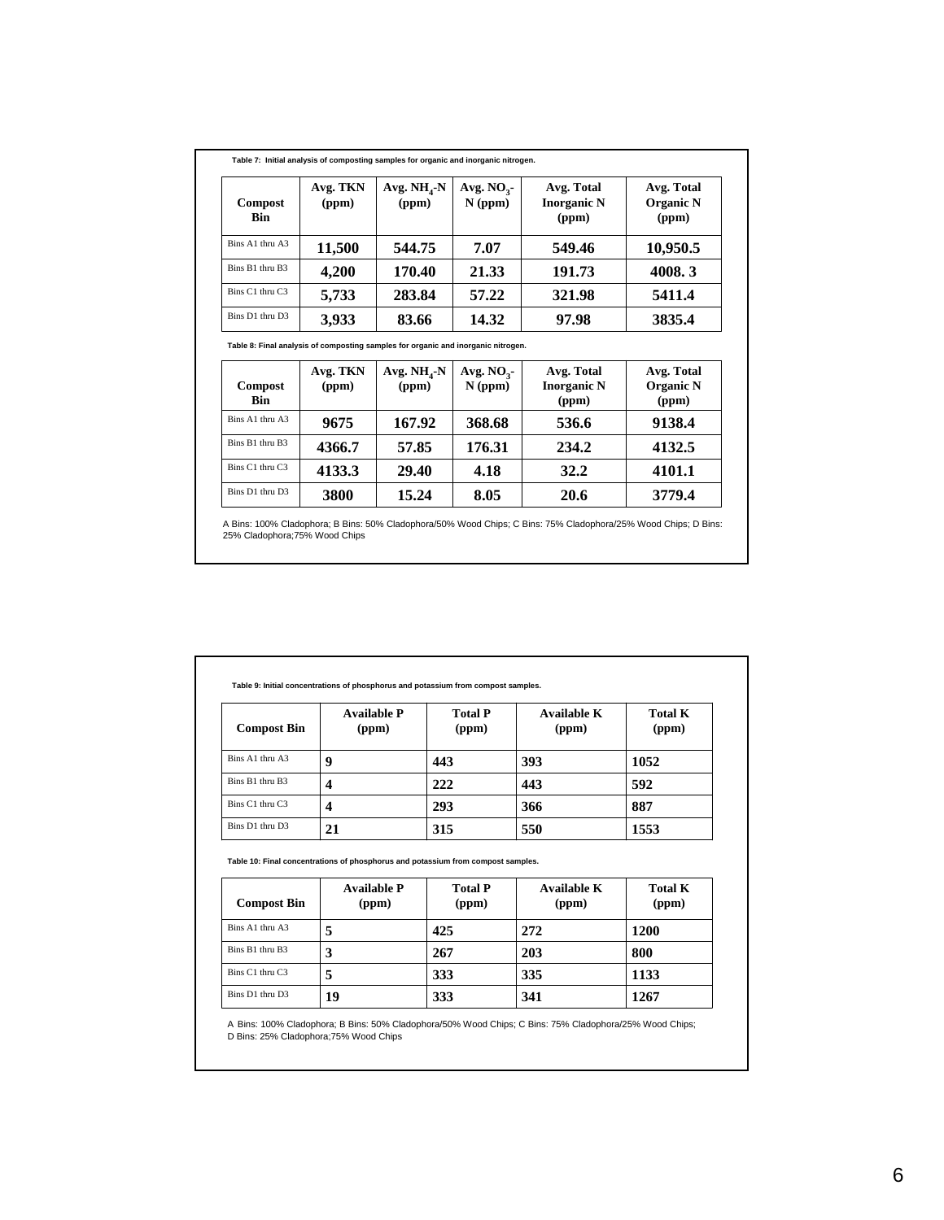| Compost<br><b>Bin</b> | Avg. TKN<br>(ppm) | Avg. $NH4-N$<br>(ppm) | Avg. $NO3$ -<br>$N$ (ppm) | Avg. Total<br><b>Inorganic N</b><br>(ppm) | Avg. Total<br><b>Organic N</b><br>(ppm) |
|-----------------------|-------------------|-----------------------|---------------------------|-------------------------------------------|-----------------------------------------|
| Bins A1 thru A3       | 11,500            | 544.75                | 7.07                      | 549.46                                    | 10,950.5                                |
| Bins B1 thru B3       | 4,200             | 170.40                | 21.33                     | 191.73                                    | 4008.3                                  |
| Bins C1 thru C3       | 5,733             | 283.84                | 57.22                     | 321.98                                    | 5411.4                                  |
| Bins D1 thru D3       | 3,933             | 83.66                 | 14.32                     | 97.98                                     | 3835.4                                  |

**Table 8: Final analysis of composting samples for organic and inorganic nitrogen.** 

| <b>Compost</b><br><b>Bin</b> | Avg. TKN<br>(ppm) | Avg. $NH4-N$<br>(ppm) | Avg. $NO3$<br>$N$ (ppm) | Avg. Total<br><b>Inorganic N</b><br>(ppm) | Avg. Total<br><b>Organic N</b><br>(ppm) |
|------------------------------|-------------------|-----------------------|-------------------------|-------------------------------------------|-----------------------------------------|
| Bins A1 thru A3              | 9675              | 167.92                | 368.68                  | 536.6                                     | 9138.4                                  |
| Bins B1 thru B3              | 4366.7            | 57.85                 | 176.31                  | 234.2                                     | 4132.5                                  |
| Bins C1 thru C3              | 4133.3            | 29.40                 | 4.18                    | 32.2                                      | 4101.1                                  |
| Bins D1 thru D3              | 3800              | 15.24                 | 8.05                    | 20.6                                      | 3779.4                                  |

A Bins: 100% Cladophora; B Bins: 50% Cladophora/50% Wood Chips; C Bins: 75% Cladophora/25% Wood Chips; D Bins: 25% Cladophora;75% Wood Chips

| <b>Compost Bin</b> | <b>Available P</b><br>(ppm) | <b>Total P</b><br>(ppm) | Available K<br>(ppm) | <b>Total K</b><br>(ppm) |
|--------------------|-----------------------------|-------------------------|----------------------|-------------------------|
| Bins A1 thru A3    | 9                           | 443                     | 393                  | 1052                    |
| Bins B1 thru B3    | 4                           | 222                     | 443                  | 592                     |
| Bins C1 thru C3    | 4                           | 293                     | 366                  | 887                     |
| Bins D1 thru D3    | 21                          | 315                     | 550                  | 1553                    |

**Table 10: Final concentrations of phosphorus and potassium from compost samples.**

| <b>Compost Bin</b> | <b>Available P</b><br>(ppm) | <b>Total P</b><br>(ppm) | Available K<br>(ppm) | <b>Total K</b><br>(ppm) |
|--------------------|-----------------------------|-------------------------|----------------------|-------------------------|
| Bins A1 thru A3    | 5                           | 425                     | 272                  | 1200                    |
| Bins B1 thru B3    | 3                           | 267                     | 203                  | 800                     |
| Bins C1 thru C3    | 5                           | 333                     | 335                  | 1133                    |
| Bins D1 thru D3    | 19                          | 333                     | 341                  | 1267                    |

A Bins: 100% Cladophora; B Bins: 50% Cladophora/50% Wood Chips; C Bins: 75% Cladophora/25% Wood Chips; D Bins: 25% Cladophora;75% Wood Chips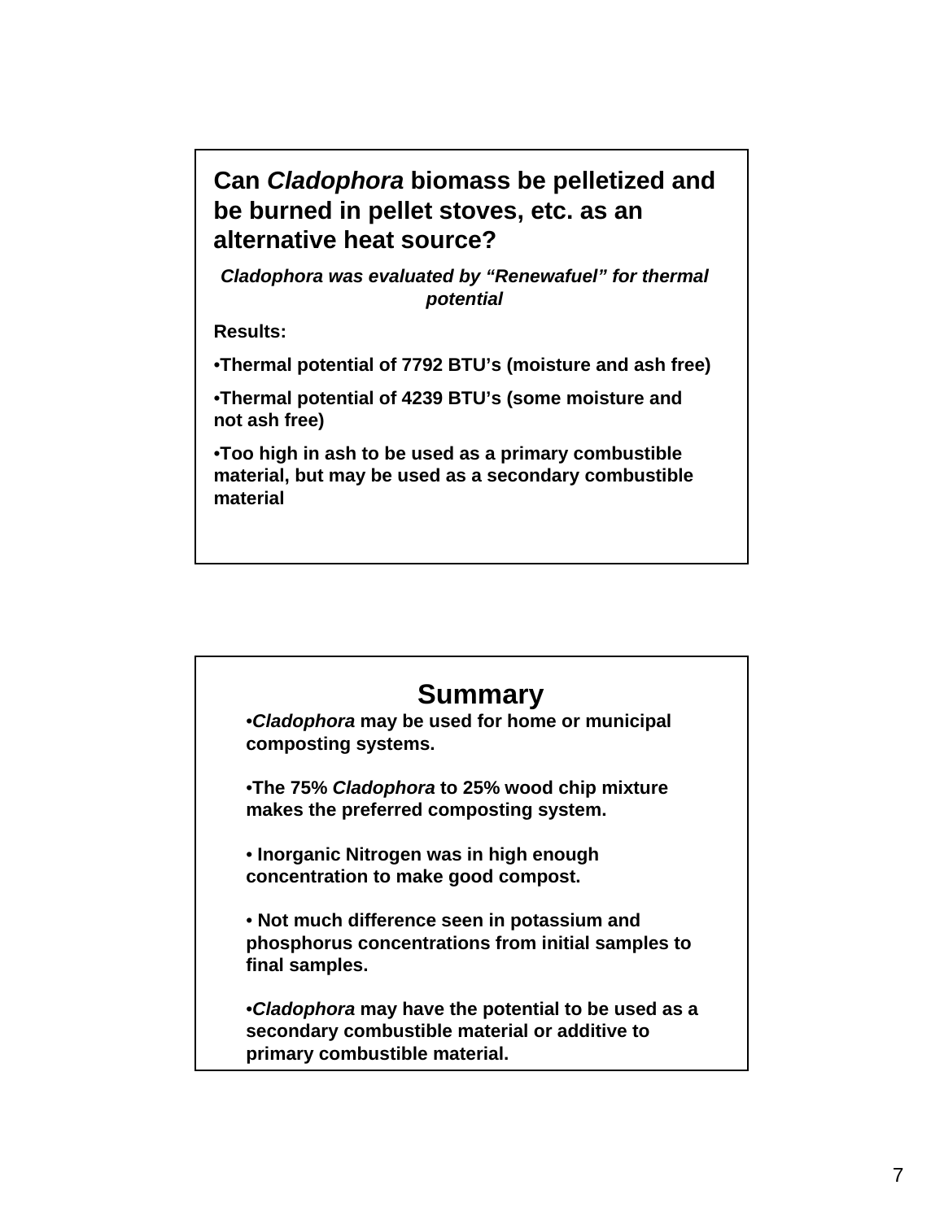**Can** *Cladophora* **biomass be pelletized and be burned in pellet stoves, etc. as an alternative heat source?**

*Cladophora was evaluated by "Renewafuel" for thermal potential*

**Results:**

•**Thermal potential of 7792 BTU's (moisture and ash free)**

•**Thermal potential of 4239 BTU's (some moisture and not ash free)**

•**Too high in ash to be used as a primary combustible material, but may be used as a secondary combustible material**

|                               | <b>Summary</b>                                                                                      |
|-------------------------------|-----------------------------------------------------------------------------------------------------|
| composting systems.           | •Cladophora may be used for home or municipal                                                       |
|                               | •The 75% Cladophora to 25% wood chip mixture<br>makes the preferred composting system.              |
|                               | • Inorganic Nitrogen was in high enough<br>concentration to make good compost.                      |
| final samples.                | • Not much difference seen in potassium and<br>phosphorus concentrations from initial samples to    |
| primary combustible material. | •Cladophora may have the potential to be used as a<br>secondary combustible material or additive to |